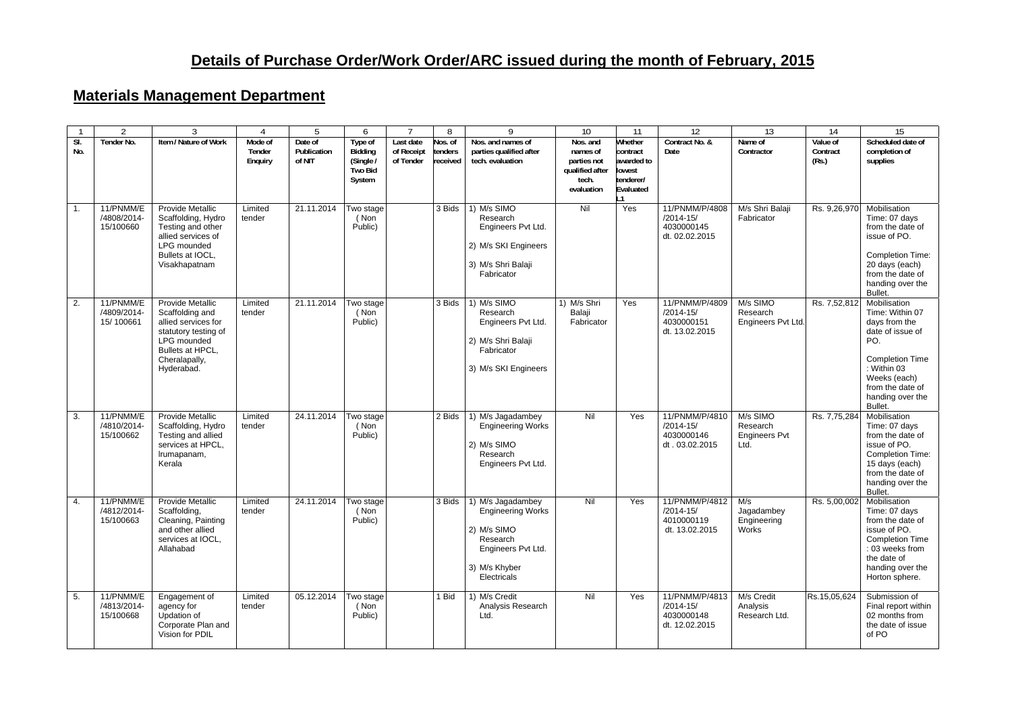## **Materials Management Department**

|            | $\mathfrak{D}$                        | 3                                                                                                                                                           |                              | 5                                | 6                                                           |                                      | 8                              | 9                                                                                                                              | 10                                                                            | 11                                                                    | 12                                                              | 13                                                   | 14                            | 15                                                                                                                                                                                      |
|------------|---------------------------------------|-------------------------------------------------------------------------------------------------------------------------------------------------------------|------------------------------|----------------------------------|-------------------------------------------------------------|--------------------------------------|--------------------------------|--------------------------------------------------------------------------------------------------------------------------------|-------------------------------------------------------------------------------|-----------------------------------------------------------------------|-----------------------------------------------------------------|------------------------------------------------------|-------------------------------|-----------------------------------------------------------------------------------------------------------------------------------------------------------------------------------------|
| SI.<br>No. | Tender No.                            | Item / Nature of Work                                                                                                                                       | Mode of<br>Tender<br>Enguiry | Date of<br>Publication<br>of NIT | Type of<br>Bidding<br>(Single /<br><b>Two Bid</b><br>System | Last date<br>of Receipt<br>of Tender | los. of<br>tenders<br>received | Nos. and names of<br>parties qualified after<br>tech. evaluation                                                               | Nos. and<br>names of<br>parties not<br>qualified after<br>tech.<br>evaluation | Whether<br>contract<br>awarded to<br>lowest<br>tenderer/<br>Evaluated | Contract No. &<br>Date                                          | Name of<br>Contractor                                | Value of<br>Contract<br>(Rs.) | Scheduled date of<br>completion of<br>supplies                                                                                                                                          |
| 1.         | 11/PNMM/E<br>/4808/2014-<br>15/100660 | <b>Provide Metallic</b><br>Scaffolding, Hydro<br>Testing and other<br>allied services of<br>LPG mounded<br>Bullets at IOCL,<br>Visakhapatnam                | Limited<br>tender            | 21.11.2014                       | Two stage<br>(Non<br>Public)                                |                                      | 3 Bids                         | 1) M/s SIMO<br>Research<br>Engineers Pvt Ltd.<br>2) M/s SKI Engineers<br>3) M/s Shri Balaji<br>Fabricator                      | Nil                                                                           | Yes                                                                   | 11/PNMM/P/4808<br>/2014-15/<br>4030000145<br>dt. 02.02.2015     | M/s Shri Balaji<br>Fabricator                        | Rs. 9,26,970                  | Mobilisation<br>Time: 07 days<br>from the date of<br>issue of PO.<br><b>Completion Time:</b><br>20 days (each)<br>from the date of<br>handing over the<br>Bullet.                       |
| 2.         | 11/PNMM/E<br>/4809/2014-<br>15/100661 | <b>Provide Metallic</b><br>Scaffolding and<br>allied services for<br>statutory testing of<br>LPG mounded<br>Bullets at HPCL,<br>Cheralapally,<br>Hyderabad. | Limited<br>tender            | 21.11.2014                       | Two stage<br>(Non<br>Public)                                |                                      | 3 Bids                         | 1) M/s SIMO<br>Research<br>Engineers Pvt Ltd.<br>2) M/s Shri Balaji<br>Fabricator<br>3) M/s SKI Engineers                      | 1) M/s Shri<br>Balaji<br>Fabricator                                           | Yes                                                                   | 11/PNMM/P/4809<br>$/2014 - 15/$<br>4030000151<br>dt. 13.02.2015 | M/s SIMO<br>Research<br><b>Engineers Pvt Ltd</b>     | Rs. 7,52,812                  | Mobilisation<br>Time: Within 07<br>days from the<br>date of issue of<br>PO.<br><b>Completion Time</b><br>: Within 03<br>Weeks (each)<br>from the date of<br>handing over the<br>Bullet. |
| 3.         | 11/PNMM/E<br>/4810/2014-<br>15/100662 | Provide Metallic<br>Scaffolding, Hydro<br>Testing and allied<br>services at HPCL,<br>Irumapanam,<br>Kerala                                                  | Limited<br>tender            | 24.11.2014                       | Two stage<br>(Non<br>Public)                                |                                      | 2 Bids                         | 1) M/s Jagadambey<br><b>Engineering Works</b><br>2) M/s SIMO<br>Research<br>Engineers Pvt Ltd.                                 | Nil                                                                           | Yes                                                                   | 11/PNMM/P/4810<br>/2014-15/<br>4030000146<br>dt. 03.02.2015     | M/s SIMO<br>Research<br><b>Engineers Pvt</b><br>Ltd. | Rs. 7,75,284                  | Mobilisation<br>Time: 07 days<br>from the date of<br>issue of PO.<br><b>Completion Time:</b><br>15 days (each)<br>from the date of<br>handing over the<br>Bullet.                       |
| 4.         | 11/PNMM/E<br>/4812/2014-<br>15/100663 | <b>Provide Metallic</b><br>Scaffolding,<br>Cleaning, Painting<br>and other allied<br>services at IOCL.<br>Allahabad                                         | Limited<br>tender            | 24.11.2014                       | Two stage<br>(Non<br>Public)                                |                                      | 3 Bids                         | 1) M/s Jagadambey<br><b>Engineering Works</b><br>2) M/s SIMO<br>Research<br>Engineers Pvt Ltd.<br>3) M/s Khyber<br>Electricals | Nil                                                                           | Yes                                                                   | 11/PNMM/P/4812<br>$/2014 - 15/$<br>4010000119<br>dt. 13.02.2015 | M/s<br>Jagadambey<br>Engineering<br>Works            | Rs. 5,00,002                  | Mobilisation<br>Time: 07 days<br>from the date of<br>issue of PO.<br><b>Completion Time</b><br>: 03 weeks from<br>the date of<br>handing over the<br>Horton sphere.                     |
| 5.         | 11/PNMM/E<br>/4813/2014-<br>15/100668 | Engagement of<br>agency for<br>Updation of<br>Corporate Plan and<br>Vision for PDIL                                                                         | Limited<br>tender            | 05.12.2014                       | Two stage<br>(Non<br>Public)                                |                                      | 1 Bid                          | 1) M/s Credit<br>Analysis Research<br>Ltd.                                                                                     | Nil                                                                           | Yes                                                                   | 11/PNMM/P/4813<br>$/2014 - 15/$<br>4030000148<br>dt. 12.02.2015 | M/s Credit<br>Analysis<br>Research Ltd.              | Rs.15,05,624                  | Submission of<br>Final report within<br>02 months from<br>the date of issue<br>of PO                                                                                                    |